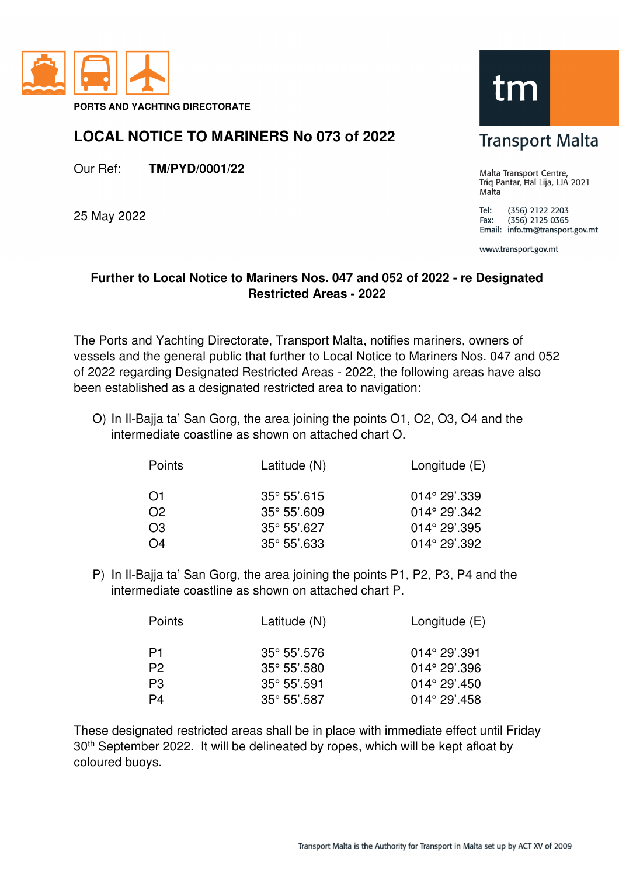

**PORTS AND YACHTING DIRECTORATE** 

## **LOCAL NOTICE TO MARINERS No 073 of 2022**

Our Ref: **TM/PYD/0001/22**

25 May 2022

## tm

## **Transport Malta**

Malta Transport Centre, Triq Pantar, Hal Lija, LJA 2021 Malta

Tel: (356) 2122 2203  $(356)$  2125 0365 Fax: Email: info.tm@transport.gov.mt

www.transport.gov.mt

## **Further to Local Notice to Mariners Nos. 047 and 052 of 2022 - re Designated Restricted Areas - 2022**

The Ports and Yachting Directorate, Transport Malta, notifies mariners, owners of vessels and the general public that further to Local Notice to Mariners Nos. 047 and 052 of 2022 regarding Designated Restricted Areas - 2022, the following areas have also been established as a designated restricted area to navigation:

O) In Il-Bajja ta' San Gorg, the area joining the points O1, O2, O3, O4 and the intermediate coastline as shown on attached chart O.

| Points         | Latitude (N)          | Longitude $(E)$        |
|----------------|-----------------------|------------------------|
| O1             | $35^{\circ} 55'$ .615 | $014^{\circ} 29'$ .339 |
| O <sub>2</sub> | $35^{\circ} 55'$ .609 | $014^{\circ} 29'.342$  |
| O <sub>3</sub> | $35^{\circ} 55'$ .627 | $014^{\circ} 29'$ .395 |
| O <sub>4</sub> | $35^{\circ} 55'$ .633 | $014^{\circ} 29'.392$  |

P) In Il-Bajja ta' San Gorg, the area joining the points P1, P2, P3, P4 and the intermediate coastline as shown on attached chart P.

| Points         | Latitude (N)          | Longitude $(E)$        |
|----------------|-----------------------|------------------------|
| P1             | $35^{\circ} 55'$ .576 | $014^{\circ} 29' .391$ |
| P <sub>2</sub> | $35^{\circ} 55'$ .580 | $014^{\circ} 29'$ .396 |
| P <sub>3</sub> | $35^{\circ} 55'$ .591 | $014^{\circ} 29'$ .450 |
| P4             | $35^{\circ}$ 55'.587  | $014^{\circ} 29'$ .458 |

These designated restricted areas shall be in place with immediate effect until Friday 30<sup>th</sup> September 2022. It will be delineated by ropes, which will be kept afloat by coloured buoys.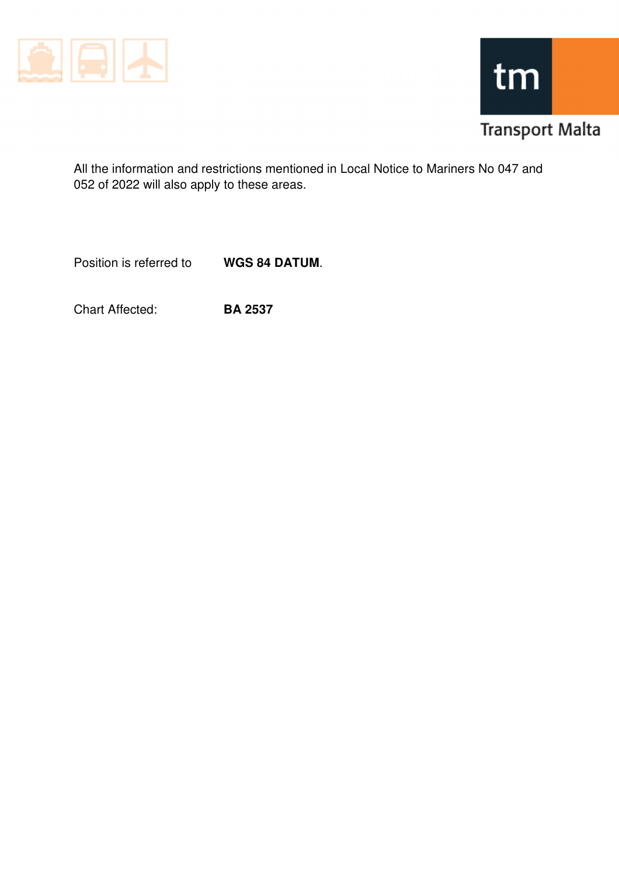



All the information and restrictions mentioned in Local Notice to Mariners No 047 and 052 of 2022 will also apply to these areas.

Position is referred to **WGS 84 DATUM**.

Chart Affected: **BA 2537**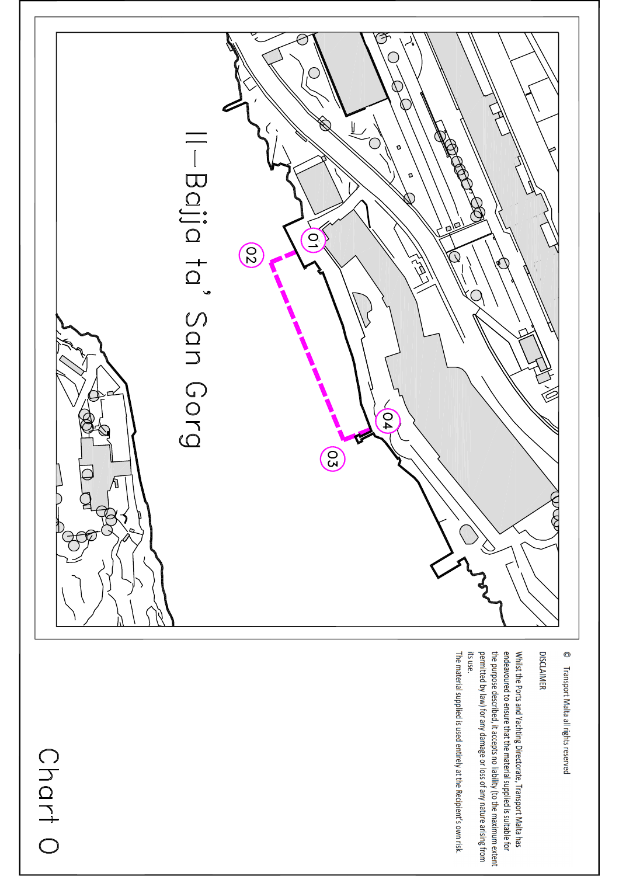

 $\odot$ Transport Malta all rights reserved

**DISCLAIMER** 

endeavoured to ensure that the material supplied is suitable for Whilst the Ports and Yachting Directorate, Transport Malta has its use. permitted by law) for any damage or loss of any nature arising from the purpose described, it accepts no liability (to the maximum extent

The material supplied is used entirely at the Recipient's own risk.